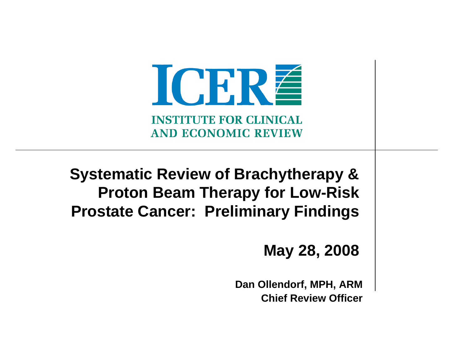ICRRÉ **INSTITUTE FOR CLINICAL AND ECONOMIC REVIEW** 

**Systematic Review of Brachytherapy & Proton Beam Therapy for Low-Risk Prostate Cancer: Preliminary Findings**

#### **May 28, 2008**

**Dan Ollendorf, MPH, ARM Chief Review Officer**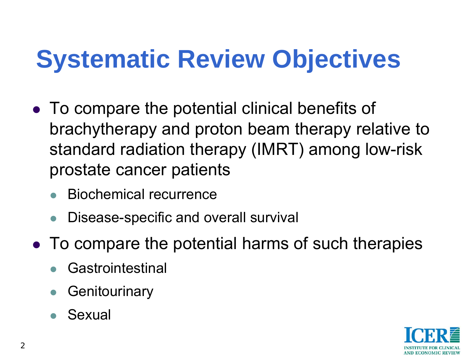# **Systematic Review Objectives**

- To compare the potential clinical benefits of brachytherapy and proton beam therapy relative to standard radiation therapy (IMRT) among low-risk prostate cancer patients
	- $\bullet$ Biochemical recurrence
	- $\bullet$ Disease-specific and overall survival
- To compare the potential harms of such therapies
	- $\bullet$ Gastrointestinal
	- $\bullet$ **Genitourinary**
	- $\bullet$ Sexual

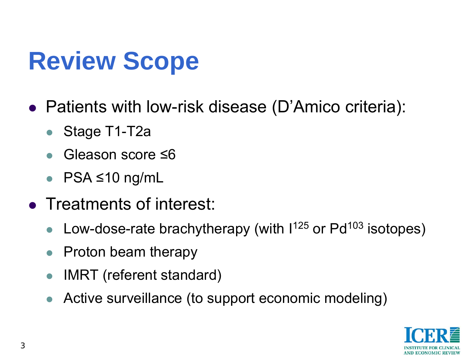# **Review Scope**

- Patients with low-risk disease (D'Amico criteria):
	- $\bullet$ Stage T1-T2a
	- $\bullet$ Gleason score ≤6
	- $\bullet$ PSA ≤10 ng/mL
- Treatments of interest:
	- $\bullet$ Low-dose-rate brachytherapy (with  $1^{125}$  or Pd<sup>103</sup> isotopes)
	- $\bullet$ Proton beam therapy
	- $\bullet$ IMRT (referent standard)
	- Active surveillance (to support economic modeling)

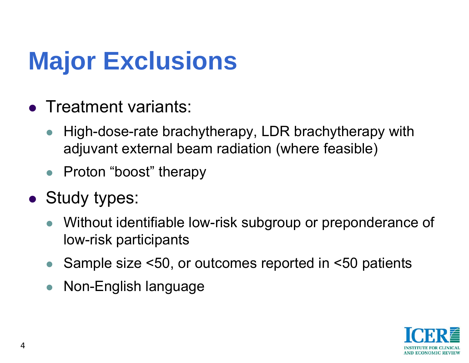# **Major Exclusions**

- Treatment variants:
	- $\bullet$  High-dose-rate brachytherapy, LDR brachytherapy with adjuvant external beam radiation (where feasible)
	- Proton "boost" therapy
- Study types:
	- $\bullet$  Without identifiable low-risk subgroup or preponderance of low-risk participants
	- $\bullet$ Sample size <50, or outcomes reported in <50 patients
	- $\bullet$ Non-English language

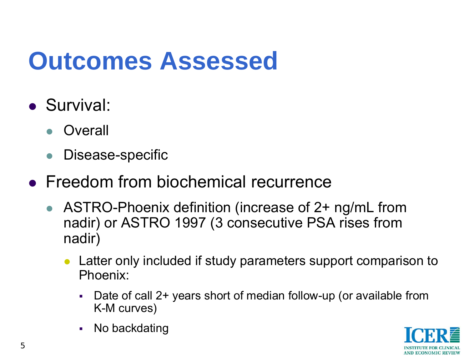# **Outcomes Assessed**

- Survival:
	- $\bullet$ **Overall**
	- $\bullet$ Disease-specific
- Freedom from biochemical recurrence
	- ASTRO-Phoenix definition (increase of 2+ ng/mL from nadir) or ASTRO 1997 (3 consecutive PSA rises from nadir)
		- $\bullet$  Latter only included if study parameters support comparison to Phoenix:
			- г Date of call 2+ years short of median follow-up (or available from K-M curves)
			- г No backdating

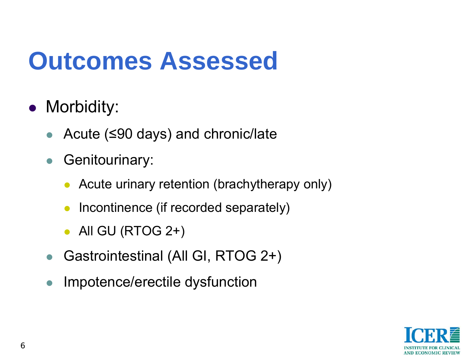# **Outcomes Assessed**

- Morbidity:
	- Acute (≤90 days) and chronic/late
	- $\bullet$  Genitourinary:
		- $\bullet$ Acute urinary retention (brachytherapy only)
		- $\bullet$ Incontinence (if recorded separately)
		- $\bullet~$  All GU (RTOG 2+)
	- $\bullet$ Gastrointestinal (All GI, RTOG 2+)
	- $\bullet$ Impotence/erectile dysfunction

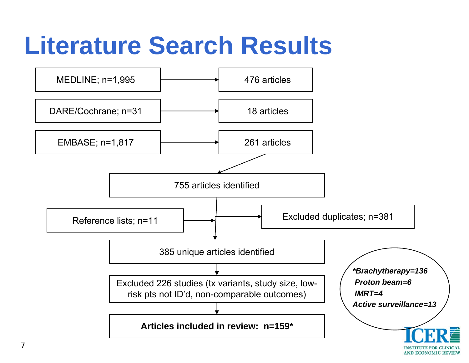# **Literature Search Results**

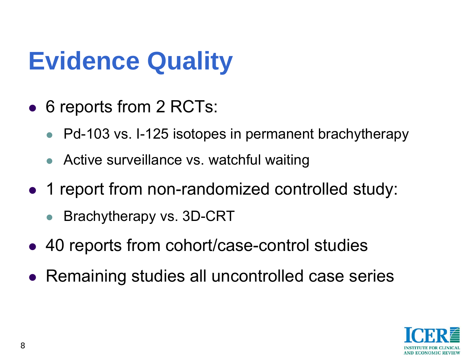# **Evidence Quality**

- 6 reports from 2 RCTs:
	- $\bullet$ Pd-103 vs. I-125 isotopes in permanent brachytherapy
	- Active surveillance vs. watchful waiting
- 1 report from non-randomized controlled study:
	- $\bullet$ Brachytherapy vs. 3D-CRT
- 40 reports from cohort/case-control studies
- Remaining studies all uncontrolled case series

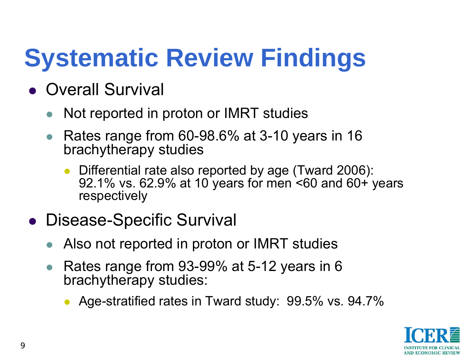# **Systematic Review Findings**

- Overall Survival
	- $\bullet$ Not reported in proton or IMRT studies
	- $\bullet$  Rates range from 60-98.6% at 3-10 years in 16 brachytherapy studies
		- $\bullet$  Differential rate also reported by age (Tward 2006): 92.1% vs. 62.9% at 10 years for men <60 and 60+ years respectively
- **Disease-Specific Survival** 
	- $\bullet$ Also not reported in proton or IMRT studies
	- $\bullet$  Rates range from 93-99% at 5-12 years in 6 brachytherapy studies:
		- $\bullet$ Age-stratified rates in Tward study: 99.5% vs. 94.7%

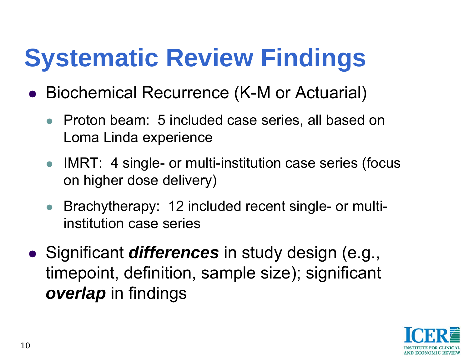# **Systematic Review Findings**

- **Biochemical Recurrence (K-M or Actuarial)** 
	- Proton beam: 5 included case series, all based on Loma Linda experience
	- IMRT: 4 single- or multi-institution case series (focus on higher dose delivery)
	- $\bullet$  Brachytherapy: 12 included recent single- or multiinstitution case series
- **•** Significant *differences* in study design (e.g., timepoint, definition, sample size); significant *overlap* in findings

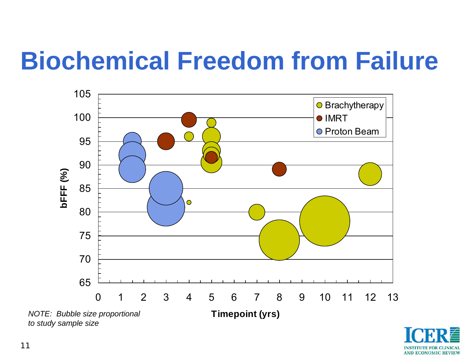# **Biochemical Freedom from Failure**



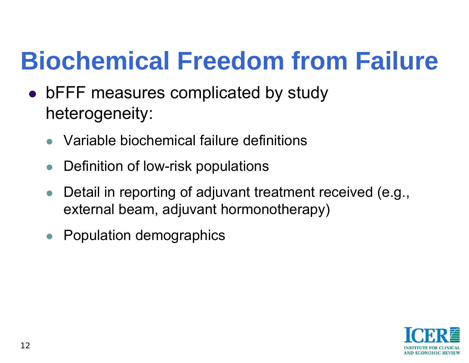# **Biochemical Freedom from Failure**

- bFFF measures complicated by study heterogeneity:
	- $\bullet$ Variable biochemical failure definitions
	- $\bullet$ Definition of low-risk populations
	- $\bullet$  Detail in reporting of adjuvant treatment received (e.g., external beam, adjuvant hormonotherapy)
	- $\bullet$ Population demographics

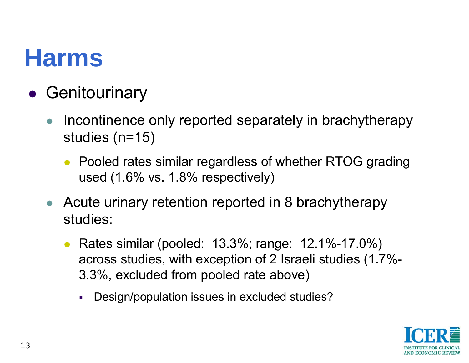### **Harms**

- **Genitourinary** 
	- $\bullet$  Incontinence only reported separately in brachytherapy studies (n=15)
		- Pooled rates similar regardless of whether RTOG grading used (1.6% vs. 1.8% respectively)
	- Acute urinary retention reported in 8 brachytherapy studies:
		- $\bullet$  Rates similar (pooled: 13.3%; range: 12.1%-17.0%) across studies, with exception of 2 Israeli studies (1.7%- 3.3%, excluded from pooled rate above)
			- L. Design/population issues in excluded studies?

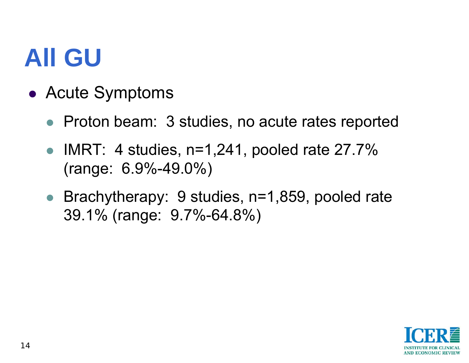### **All GU**

- Acute Symptoms
	- Proton beam: 3 studies, no acute rates reported
	- $\bullet$  IMRT: 4 studies, n=1,241, pooled rate 27.7% (range: 6.9%-49.0%)
	- Brachytherapy: 9 studies, n=1,859, pooled rate 39.1% (range: 9.7%-64.8%)

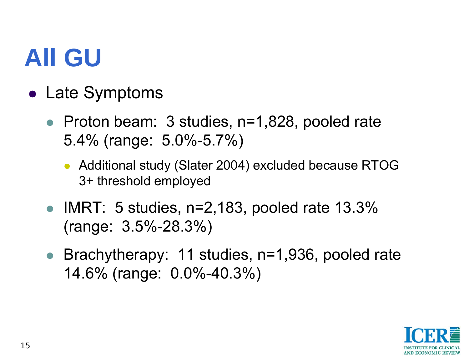# **All GU**

- Late Symptoms
	- Proton beam: 3 studies, n=1,828, pooled rate 5.4% (range: 5.0%-5.7%)
		- Additional study (Slater 2004) excluded because RTOG 3+ threshold employed
	- IMRT: 5 studies,  $n=2,183$ , pooled rate 13.3% (range: 3.5%-28.3%)
	- Brachytherapy: 11 studies, n=1,936, pooled rate 14.6% (range: 0.0%-40.3%)

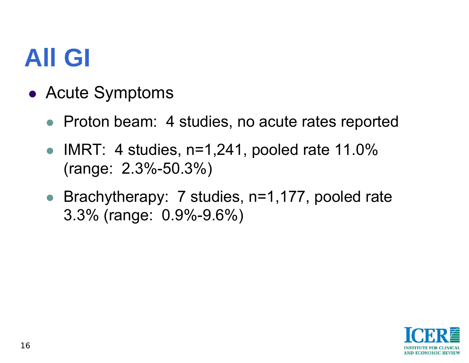### **All GI**

- Acute Symptoms
	- Proton beam: 4 studies, no acute rates reported
	- IMRT: 4 studies,  $n=1,241$ , pooled rate 11.0% (range: 2.3%-50.3%)
	- Brachytherapy: 7 studies, n=1,177, pooled rate 3.3% (range: 0.9%-9.6%)

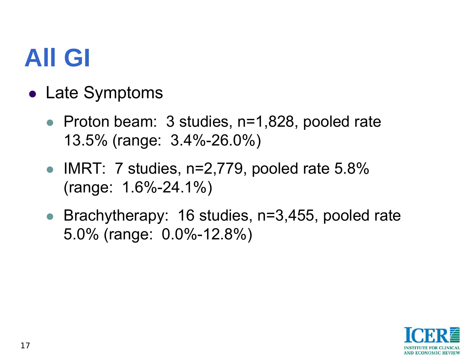# **All GI**

- Late Symptoms
	- Proton beam: 3 studies, n=1,828, pooled rate 13.5% (range: 3.4%-26.0%)
	- IMRT: 7 studies,  $n=2,779$ , pooled rate 5.8% (range: 1.6%-24.1%)
	- Brachytherapy: 16 studies, n=3,455, pooled rate 5.0% (range: 0.0%-12.8%)

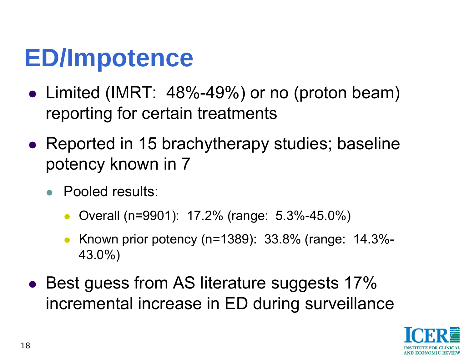# **ED/Impotence**

- Limited (IMRT: 48%-49%) or no (proton beam) reporting for certain treatments
- Reported in 15 brachytherapy studies; baseline potency known in 7
	- Pooled results:
		- $\bullet$ Overall (n=9901): 17.2% (range: 5.3%-45.0%)
		- $\bullet$  Known prior potency (n=1389): 33.8% (range: 14.3%- 43.0%)
- Best guess from AS literature suggests 17% incremental increase in ED during surveillance

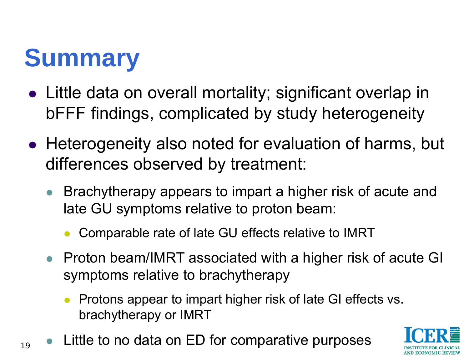# **Summary**

19

- Little data on overall mortality; significant overlap in bFFF findings, complicated by study heterogeneity
- Heterogeneity also noted for evaluation of harms, but differences observed by treatment:
	- $\bullet$  Brachytherapy appears to impart a higher risk of acute and late GU symptoms relative to proton beam:
		- $\bullet$ Comparable rate of late GU effects relative to IMRT
	- Proton beam/IMRT associated with a higher risk of acute GI symptoms relative to brachytherapy
		- Protons appear to impart higher risk of late GI effects vs. brachytherapy or IMRT
- Little to no data on ED for comparative purposes

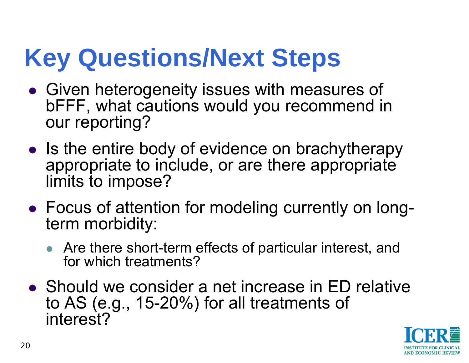# **Key Questions/Next Steps**

- Given heterogeneity issues with measures of bFFF, what cautions would you recommend in our reporting?
- Is the entire body of evidence on brachytherapy appropriate to include, or are there appropriate limits to impose?
- Focus of attention for modeling currently on longterm morbidity:
	- Are there short-term effects of particular interest, and for which treatments?
- Should we consider a net increase in ED relative to AS (e.g., 15-20%) for all treatments of interest?

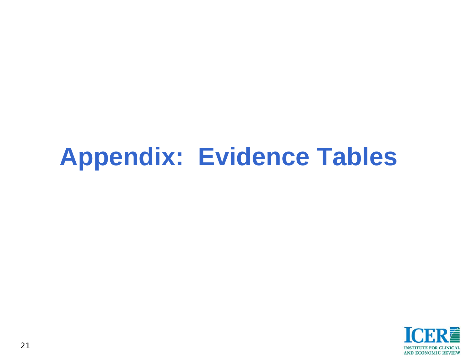### **Appendix: Evidence Tables**

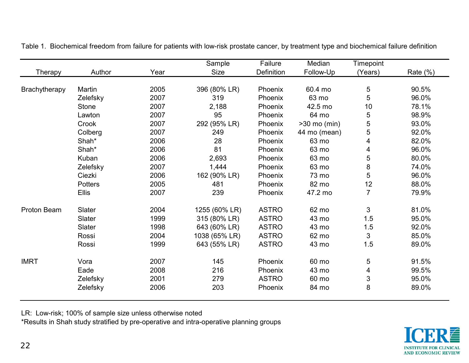|                |                |      | Sample        | Failure      | Median         | Timepoint      |             |
|----------------|----------------|------|---------------|--------------|----------------|----------------|-------------|
| <b>Therapy</b> | Author         | Year | <b>Size</b>   | Definition   | Follow-Up      | (Years)        | Rate $(\%)$ |
|                |                |      |               |              |                |                |             |
| Brachytherapy  | Martin         | 2005 | 396 (80% LR)  | Phoenix      | 60.4 mo        | 5              | 90.5%       |
|                | Zelefsky       | 2007 | 319           | Phoenix      | 63 mo          | 5              | 96.0%       |
|                | <b>Stone</b>   | 2007 | 2,188         | Phoenix      | 42.5 mo        | 10             | 78.1%       |
|                | Lawton         | 2007 | 95            | Phoenix      | 64 mo          | 5              | 98.9%       |
|                | Crook          | 2007 | 292 (95% LR)  | Phoenix      | $>30$ mo (min) | 5              | 93.0%       |
|                | Colberg        | 2007 | 249           | Phoenix      | 44 mo (mean)   | 5              | 92.0%       |
|                | Shah*          | 2006 | 28            | Phoenix      | 63 mo          | 4              | 82.0%       |
|                | Shah*          | 2006 | 81            | Phoenix      | 63 mo          | 4              | 96.0%       |
|                | Kuban          | 2006 | 2,693         | Phoenix      | 63 mo          | 5              | 80.0%       |
|                | Zelefsky       | 2007 | 1,444         | Phoenix      | 63 mo          | 8              | 74.0%       |
|                | Ciezki         | 2006 | 162 (90% LR)  | Phoenix      | 73 mo          | 5              | 96.0%       |
|                | <b>Potters</b> | 2005 | 481           | Phoenix      | 82 mo          | 12             | 88.0%       |
|                | <b>Ellis</b>   | 2007 | 239           | Phoenix      | 47.2 mo        | $\overline{7}$ | 79.9%       |
| Proton Beam    | Slater         | 2004 | 1255 (60% LR) | <b>ASTRO</b> | 62 mo          | 3              | 81.0%       |
|                | Slater         | 1999 | 315 (80% LR)  | <b>ASTRO</b> | 43 mo          | 1.5            | 95.0%       |
|                | Slater         | 1998 | 643 (60% LR)  | <b>ASTRO</b> | 43 mo          | 1.5            | 92.0%       |
|                | Rossi          | 2004 | 1038 (65% LR) | <b>ASTRO</b> | 62 mo          | 3              | 85.0%       |
|                | Rossi          | 1999 | 643 (55% LR)  | <b>ASTRO</b> | 43 mo          | 1.5            | 89.0%       |
| <b>IMRT</b>    | Vora           | 2007 | 145           | Phoenix      | 60 mo          | 5              | 91.5%       |
|                | Eade           | 2008 | 216           | Phoenix      | 43 mo          | 4              | 99.5%       |
|                | Zelefsky       | 2001 | 279           | <b>ASTRO</b> | 60 mo          | 3              | 95.0%       |
|                | Zelefsky       | 2006 | 203           | Phoenix      | 84 mo          | 8              | 89.0%       |

Table 1. Biochemical freedom from failure for patients with low-risk prostate cancer, by treatment type and biochemical failure definition

LR: Low-risk; 100% of sample size unless otherwise noted

\*Results in Shah study stratified by pre-operative and intra-operative planning groups

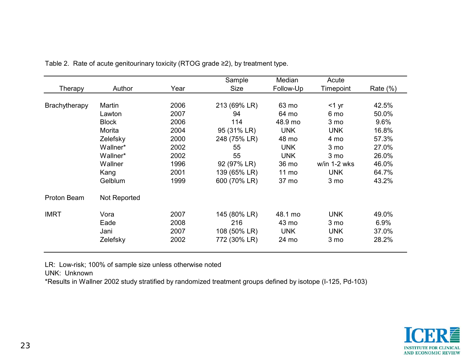|               |              |      | Sample       | Median     | Acute           |             |
|---------------|--------------|------|--------------|------------|-----------------|-------------|
| Therapy       | Author       | Year | <b>Size</b>  | Follow-Up  | Timepoint       | Rate $(\%)$ |
|               |              |      |              |            |                 |             |
| Brachytherapy | Martin       | 2006 | 213 (69% LR) | 63 mo      | $<$ 1 yr        | 42.5%       |
|               | Lawton       | 2007 | 94           | 64 mo      | 6 mo            | 50.0%       |
|               | <b>Block</b> | 2006 | 114          | 48.9 mo    | 3 mo            | 9.6%        |
|               | Morita       | 2004 | 95 (31% LR)  | <b>UNK</b> | <b>UNK</b>      | 16.8%       |
|               | Zelefsky     | 2000 | 248 (75% LR) | 48 mo      | 4 mo            | 57.3%       |
|               | Wallner*     | 2002 | 55           | <b>UNK</b> | 3 <sub>mo</sub> | 27.0%       |
|               | Wallner*     | 2002 | 55           | <b>UNK</b> | 3 <sub>mo</sub> | 26.0%       |
|               | Wallner      | 1996 | 92 (97% LR)  | 36 mo      | w/in 1-2 wks    | 46.0%       |
|               | Kang         | 2001 | 139 (65% LR) | 11 mo      | <b>UNK</b>      | 64.7%       |
|               | Gelblum      | 1999 | 600 (70% LR) | 37 mo      | 3 <sub>mo</sub> | 43.2%       |
| Proton Beam   | Not Reported |      |              |            |                 |             |
| <b>IMRT</b>   | Vora         | 2007 | 145 (80% LR) | 48.1 mo    | <b>UNK</b>      | 49.0%       |
|               | Eade         | 2008 | 216          | 43 mo      | 3 <sub>mo</sub> | 6.9%        |
|               | Jani         | 2007 | 108 (50% LR) | <b>UNK</b> | <b>UNK</b>      | 37.0%       |
|               | Zelefsky     | 2002 | 772 (30% LR) | 24 mo      | 3 mo            | 28.2%       |

Table 2. Rate of acute genitourinary toxicity (RTOG grade ≥2), by treatment type.

LR: Low-risk; 100% of sample size unless otherwise noted

UNK: Unknown

\*Results in Wallner 2002 study stratified by randomized treatment groups defined by isotope (I-125, Pd-103)

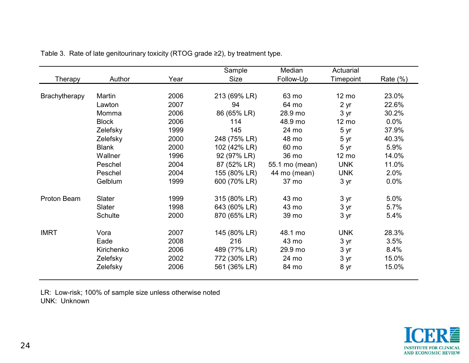|               |              |      | Sample       | Median         | Actuarial       |             |
|---------------|--------------|------|--------------|----------------|-----------------|-------------|
| Therapy       | Author       | Year | Size         | Follow-Up      | Timepoint       | Rate $(\%)$ |
|               |              |      |              |                |                 |             |
| Brachytherapy | Martin       | 2006 | 213 (69% LR) | 63 mo          | 12 mo           | 23.0%       |
|               | Lawton       | 2007 | 94           | 64 mo          | 2 <sub>yr</sub> | 22.6%       |
|               | Momma        | 2006 | 86 (65% LR)  | 28.9 mo        | 3 yr            | 30.2%       |
|               | <b>Block</b> | 2006 | 114          | 48.9 mo        | $12 \text{ mo}$ | 0.0%        |
|               | Zelefsky     | 1999 | 145          | 24 mo          | 5yr             | 37.9%       |
|               | Zelefsky     | 2000 | 248 (75% LR) | 48 mo          | 5yr             | 40.3%       |
|               | <b>Blank</b> | 2000 | 102 (42% LR) | 60 mo          | 5 yr            | 5.9%        |
|               | Wallner      | 1996 | 92 (97% LR)  | 36 mo          | $12 \text{ mo}$ | 14.0%       |
|               | Peschel      | 2004 | 87 (52% LR)  | 55.1 mo (mean) | <b>UNK</b>      | 11.0%       |
|               | Peschel      | 2004 | 155 (80% LR) | 44 mo (mean)   | <b>UNK</b>      | 2.0%        |
|               | Gelblum      | 1999 | 600 (70% LR) | 37 mo          | 3 yr            | 0.0%        |
| Proton Beam   | Slater       | 1999 | 315 (80% LR) | 43 mo          | 3yr             | 5.0%        |
|               | Slater       | 1998 | 643 (60% LR) | 43 mo          | 3 yr            | 5.7%        |
|               | Schulte      | 2000 | 870 (65% LR) | 39 mo          | 3 yr            | 5.4%        |
| <b>IMRT</b>   | Vora         | 2007 | 145 (80% LR) | 48.1 mo        | <b>UNK</b>      | 28.3%       |
|               | Eade         | 2008 | 216          | 43 mo          | 3 yr            | 3.5%        |
|               | Kirichenko   | 2006 | 489 (??% LR) | 29.9 mo        | 3 yr            | 8.4%        |
|               | Zelefsky     | 2002 | 772 (30% LR) | 24 mo          | 3 yr            | 15.0%       |
|               | Zelefsky     | 2006 | 561 (36% LR) | 84 mo          | 8 yr            | 15.0%       |

Table 3. Rate of late genitourinary toxicity (RTOG grade ≥2), by treatment type.

LR: Low-risk; 100% of sample size unless otherwise noted UNK: Unknown

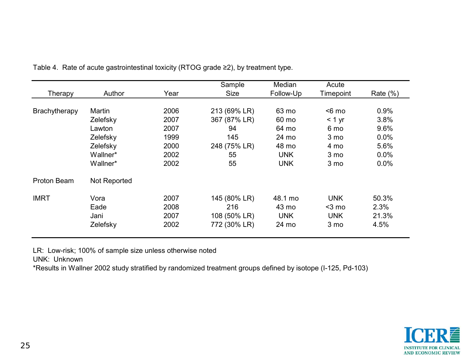| Therapy       | Author              | Year | Sample<br><b>Size</b> | Median<br>Follow-Up | Acute<br>Timepoint | Rate $(\%)$ |
|---------------|---------------------|------|-----------------------|---------------------|--------------------|-------------|
| Brachytherapy | Martin              | 2006 | 213 (69% LR)          | 63 mo               | $6$ mo             | 0.9%        |
|               | Zelefsky            | 2007 | 367 (87% LR)          | 60 mo               | $< 1$ yr           | 3.8%        |
|               | Lawton              | 2007 | 94                    | 64 mo               | 6 mo               | 9.6%        |
|               | Zelefsky            | 1999 | 145                   | 24 mo               | 3 <sub>mo</sub>    | 0.0%        |
|               | Zelefsky            | 2000 | 248 (75% LR)          | 48 mo               | 4 mo               | 5.6%        |
|               | Wallner*            | 2002 | 55                    | <b>UNK</b>          | 3 mo               | 0.0%        |
|               | Wallner*            | 2002 | 55                    | <b>UNK</b>          | 3 mo               | 0.0%        |
| Proton Beam   | <b>Not Reported</b> |      |                       |                     |                    |             |
| <b>IMRT</b>   | Vora                | 2007 | 145 (80% LR)          | 48.1 mo             | <b>UNK</b>         | 50.3%       |
|               | Eade                | 2008 | 216                   | 43 mo               | $3$ mo             | 2.3%        |
|               | Jani                | 2007 | 108 (50% LR)          | <b>UNK</b>          | <b>UNK</b>         | 21.3%       |
|               | Zelefsky            | 2002 | 772 (30% LR)          | 24 mo               | 3 mo               | 4.5%        |

Table 4. Rate of acute gastrointestinal toxicity (RTOG grade ≥2), by treatment type.

LR: Low-risk; 100% of sample size unless otherwise noted

UNK: Unknown

\*Results in Wallner 2002 study stratified by randomized treatment groups defined by isotope (I-125, Pd-103)

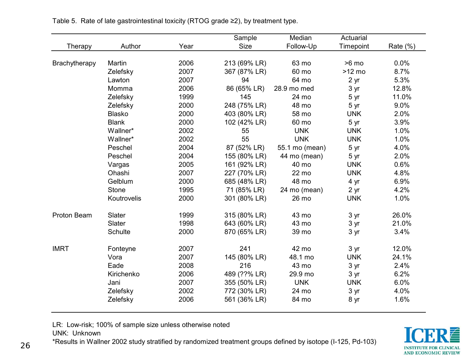|                |               |      | Sample       | Median         | Actuarial       |             |
|----------------|---------------|------|--------------|----------------|-----------------|-------------|
| <b>Therapy</b> | Author        | Year | <b>Size</b>  | Follow-Up      | Timepoint       | Rate $(\%)$ |
|                |               |      |              |                |                 |             |
| Brachytherapy  | Martin        | 2006 | 213 (69% LR) | 63 mo          | $>6$ mo         | 0.0%        |
|                | Zelefsky      | 2007 | 367 (87% LR) | 60 mo          | $>12$ mo        | 8.7%        |
|                | Lawton        | 2007 | 94           | 64 mo          | 2 <sub>yr</sub> | 5.3%        |
|                | Momma         | 2006 | 86 (65% LR)  | 28.9 mo med    | 3yr             | 12.8%       |
|                | Zelefsky      | 1999 | 145          | 24 mo          | 5 yr            | 11.0%       |
|                | Zelefsky      | 2000 | 248 (75% LR) | 48 mo          | 5 yr            | 9.0%        |
|                | <b>Blasko</b> | 2000 | 403 (80% LR) | 58 mo          | <b>UNK</b>      | 2.0%        |
|                | <b>Blank</b>  | 2000 | 102 (42% LR) | 60 mo          | 5 yr            | 3.9%        |
|                | Wallner*      | 2002 | 55           | <b>UNK</b>     | <b>UNK</b>      | 1.0%        |
|                | Wallner*      | 2002 | 55           | <b>UNK</b>     | <b>UNK</b>      | 1.0%        |
|                | Peschel       | 2004 | 87 (52% LR)  | 55.1 mo (mean) | 5 yr            | 4.0%        |
|                | Peschel       | 2004 | 155 (80% LR) | 44 mo (mean)   | 5 yr            | 2.0%        |
|                | Vargas        | 2005 | 161 (92% LR) | 40 mo          | <b>UNK</b>      | 0.6%        |
|                | Ohashi        | 2007 | 227 (70% LR) | 22 mo          | <b>UNK</b>      | 4.8%        |
|                | Gelblum       | 2000 | 685 (48% LR) | 48 mo          | 4 yr            | 6.9%        |
|                | <b>Stone</b>  | 1995 | 71 (85% LR)  | 24 mo (mean)   | 2 yr            | 4.2%        |
|                | Koutrovelis   | 2000 | 301 (80% LR) | 26 mo          | <b>UNK</b>      | 1.0%        |
| Proton Beam    | Slater        | 1999 | 315 (80% LR) | 43 mo          | 3 yr            | 26.0%       |
|                | Slater        | 1998 | 643 (60% LR) | 43 mo          | 3yr             | 21.0%       |
|                | Schulte       | 2000 | 870 (65% LR) | 39 mo          | 3 yr            | 3.4%        |
| <b>IMRT</b>    | Fonteyne      | 2007 | 241          | 42 mo          | 3 yr            | 12.0%       |
|                | Vora          | 2007 | 145 (80% LR) | 48.1 mo        | <b>UNK</b>      | 24.1%       |
|                | Eade          | 2008 | 216          | 43 mo          | 3 yr            | 2.4%        |
|                | Kirichenko    | 2006 | 489 (??% LR) | 29.9 mo        | 3 yr            | 6.2%        |
|                | Jani          | 2007 | 355 (50% LR) | <b>UNK</b>     | <b>UNK</b>      | 6.0%        |
|                | Zelefsky      | 2002 | 772 (30% LR) | 24 mo          | 3 yr            | 4.0%        |
|                | Zelefsky      | 2006 | 561 (36% LR) | 84 mo          | 8 yr            | 1.6%        |

Table 5. Rate of late gastrointestinal toxicity (RTOG grade ≥2), by treatment type.

LR: Low-risk; 100% of sample size unless otherwise noted

UNK: Unknown

\*Results in Wallner 2002 study stratified by randomized treatment groups defined by isotope (I-125, Pd-103)

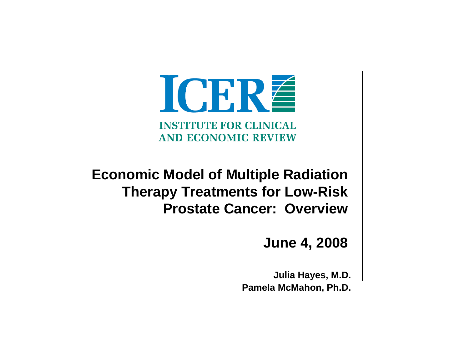ICERE **INSTITUTE FOR CLINICAL AND ECONOMIC REVIEW** 

**Economic Model of Multiple Radiation Therapy Treatments for Low-Risk Prostate Cancer: Overview**

**June 4, 2008**

**Julia Hayes, M.D. Pamela McMahon, Ph.D.**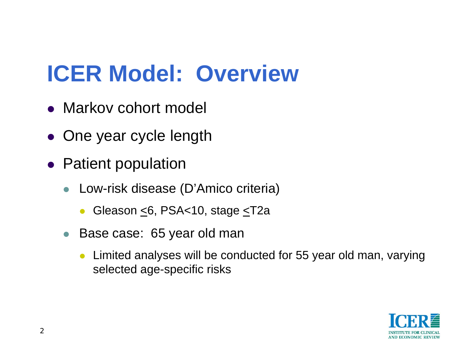### **ICER Model: Overview**

- Markov cohort model
- One year cycle length
- Patient population
	- Low-risk disease (D'Amico criteria)
		- $\bullet$ Gleason <6, PSA<10, stage <T2a
	- Base case: 65 year old man
		- $\bullet$  Limited analyses will be conducted for 55 year old man, varying selected age-specific risks

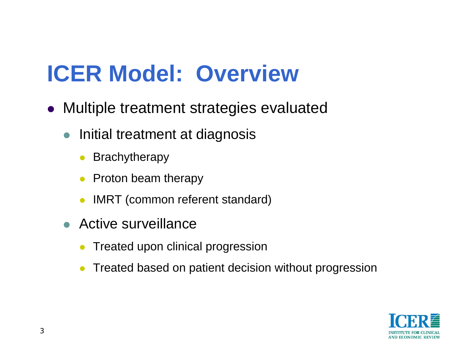### **ICER Model: Overview**

- Multiple treatment strategies evaluated
	- Initial treatment at diagnosis
		- $\bullet$ Brachytherapy
		- $\bullet$ Proton beam therapy
		- $\bullet$ IMRT (common referent standard)
	- Active surveillance
		- $\bullet$ Treated upon clinical progression
		- $\bullet$ Treated based on patient decision without progression

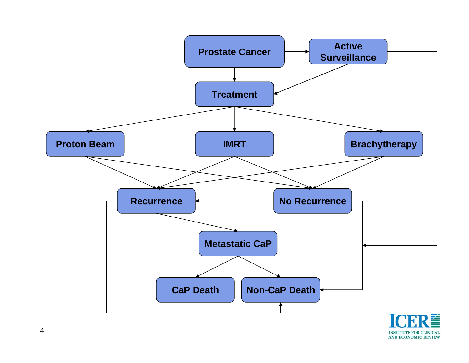

**INSTITUTE FOR CLINICAL AND ECONOMIC REVIEW**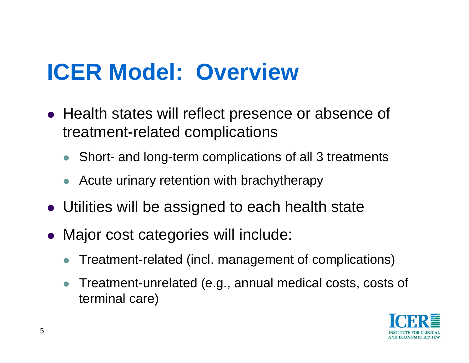### **ICER Model: Overview**

- Health states will reflect presence or absence of treatment-related complications
	- $\bullet$ Short- and long-term complications of all 3 treatments
	- $\bullet$  Acute urinary retention with brachytherapy
- Utilities will be assigned to each health state
- Major cost categories will include:
	- $\bullet$ Treatment-related (incl. management of complications)
	- $\bullet$  Treatment-unrelated (e.g., annual medical costs, costs of terminal care)

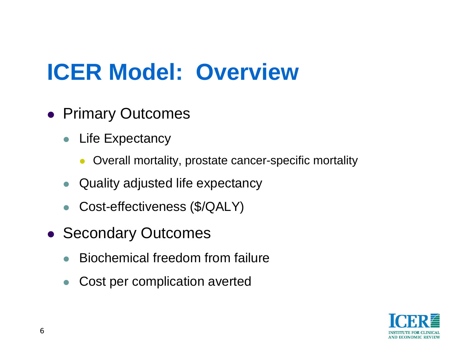### **ICER Model: Overview**

- **Primary Outcomes** 
	- Life Expectancy
		- $\bullet$ Overall mortality, prostate cancer-specific mortality
	- $\bullet$ Quality adjusted life expectancy
	- Cost-effectiveness (\$/QALY)
- Secondary Outcomes
	- $\bullet$ Biochemical freedom from failure
	- $\bullet$ Cost per complication averted

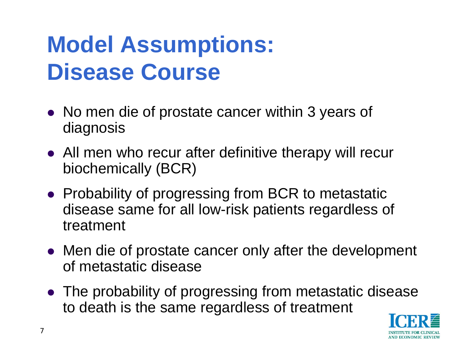### **Model Assumptions: Disease Course**

- No men die of prostate cancer within 3 years of diagnosis
- All men who recur after definitive therapy will recur biochemically (BCR)
- Probability of progressing from BCR to metastatic disease same for all low-risk patients regardless of treatment
- Men die of prostate cancer only after the development of metastatic disease
- The probability of progressing from metastatic disease to death is the same regardless of treatment

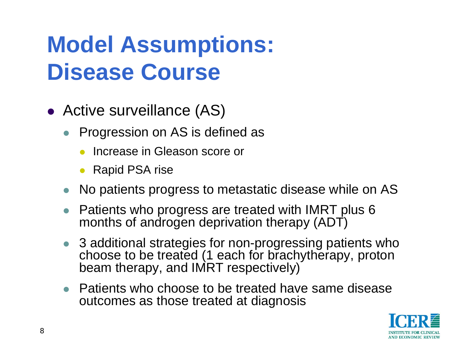### **Model Assumptions: Disease Course**

- Active surveillance (AS)
	- Progression on AS is defined as
		- $\bullet$ Increase in Gleason score or
		- $\bullet$ Rapid PSA rise
	- No patients progress to metastatic disease while on AS
	- Patients who progress are treated with IMRT plus 6 months of androgen deprivation therapy (ADT)
	- 3 additional strategies for non-progressing patients who choose to be treated (1 each for brachytherapy, proton beam therapy, and IMRT respectively)
	- $\bullet$  Patients who choose to be treated have same disease outcomes as those treated at diagnosis

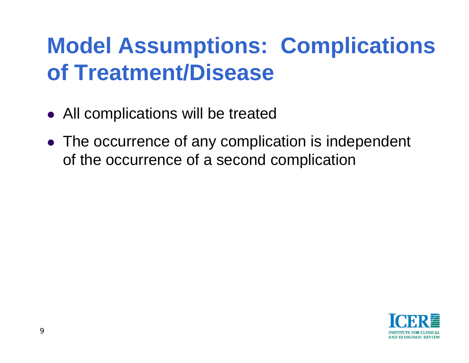#### **Model Assumptions: Complications of Treatment/Disease**

- $\bullet$ All complications will be treated
- The occurrence of any complication is independent of the occurrence of a second complication

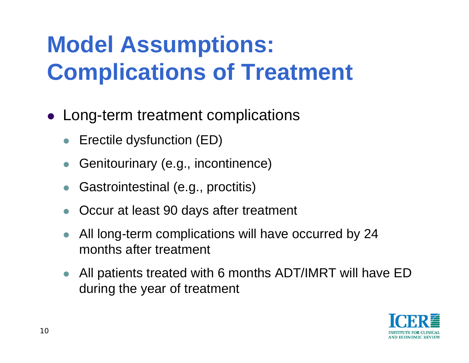### **Model Assumptions: Complications of Treatment**

- Long-term treatment complications
	- $\bullet$ Erectile dysfunction (ED)
	- $\bullet$ Genitourinary (e.g., incontinence)
	- $\bullet$ Gastrointestinal (e.g., proctitis)
	- $\bullet$ Occur at least 90 days after treatment
	- $\bullet$  All long-term complications will have occurred by 24 months after treatment
	- $\bullet$  All patients treated with 6 months ADT/IMRT will have ED during the year of treatment

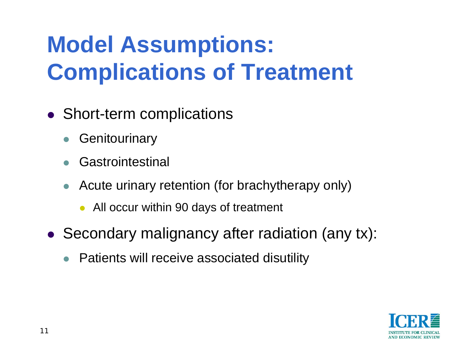### **Model Assumptions: Complications of Treatment**

- Short-term complications
	- $\bullet$ **Genitourinary**
	- $\bullet$ Gastrointestinal
	- $\bullet$  Acute urinary retention (for brachytherapy only)
		- All occur within 90 days of treatment
- Secondary malignancy after radiation (any tx):
	- Patients will receive associated disutility

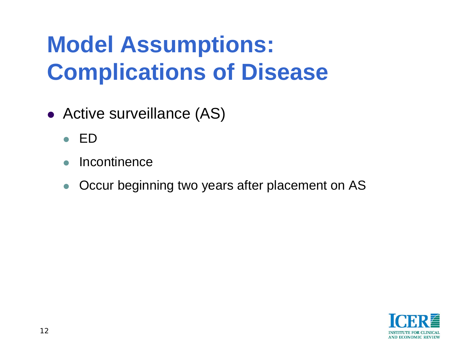### **Model Assumptions: Complications of Disease**

- Active surveillance (AS)
	- $\bullet$  ED
	- $\bullet$ **Incontinence**
	- $\bullet$ Occur beginning two years after placement on AS

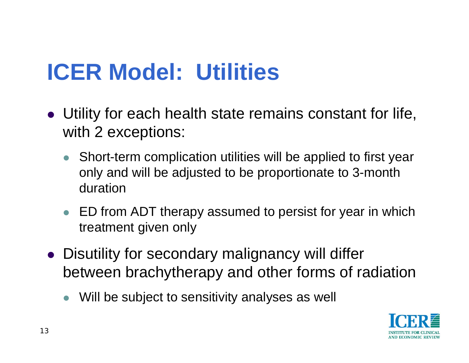### **ICER Model: Utilities**

- Utility for each health state remains constant for life, with 2 exceptions:
	- Short-term complication utilities will be applied to first year only and will be adjusted to be proportionate to 3-month duration
	- ED from ADT therapy assumed to persist for year in which treatment given only
- Disutility for secondary malignancy will differ between brachytherapy and other forms of radiation
	- $\bullet$ Will be subject to sensitivity analyses as well

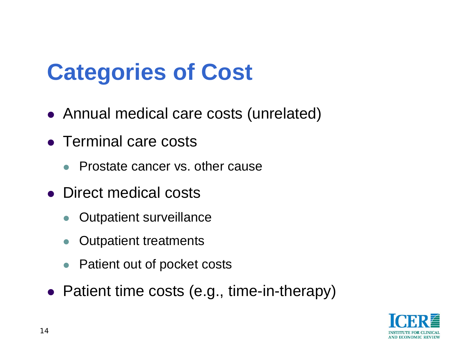### **Categories of Cost**

- Annual medical care costs (unrelated)
- Terminal care costs
	- Prostate cancer vs. other cause
- Direct medical costs
	- $\bullet$ Outpatient surveillance
	- $\bullet$ Outpatient treatments
	- $\bullet$ Patient out of pocket costs
- Patient time costs (e.g., time-in-therapy)

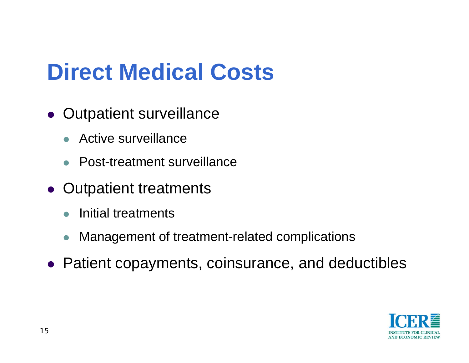#### **Direct Medical Costs**

- Outpatient surveillance
	- $\bullet$  Active surveillance
	- $\bullet$ Post-treatment surveillance
- Outpatient treatments
	- $\bullet$ Initial treatments
	- $\bullet$ Management of treatment-related complications
- Patient copayments, coinsurance, and deductibles

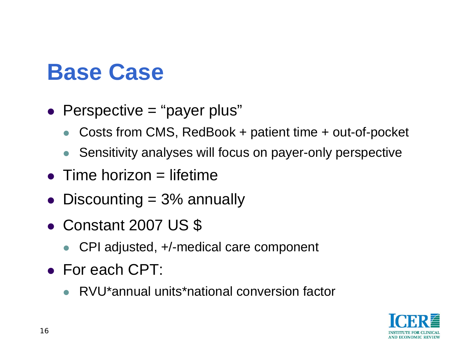#### **Base Case**

- Perspective = "payer plus"
	- $\bullet$ Costs from CMS, RedBook + patient time + out-of-pocket
	- $\bullet$ Sensitivity analyses will focus on payer-only perspective
- $\bullet$  Time horizon = lifetime
- Discounting  $= 3\%$  annually
- Constant 2007 US \$
	- $\bullet$ CPI adjusted, +/-medical care component
- For each CPT:
	- RVU\*annual units\*national conversion factor